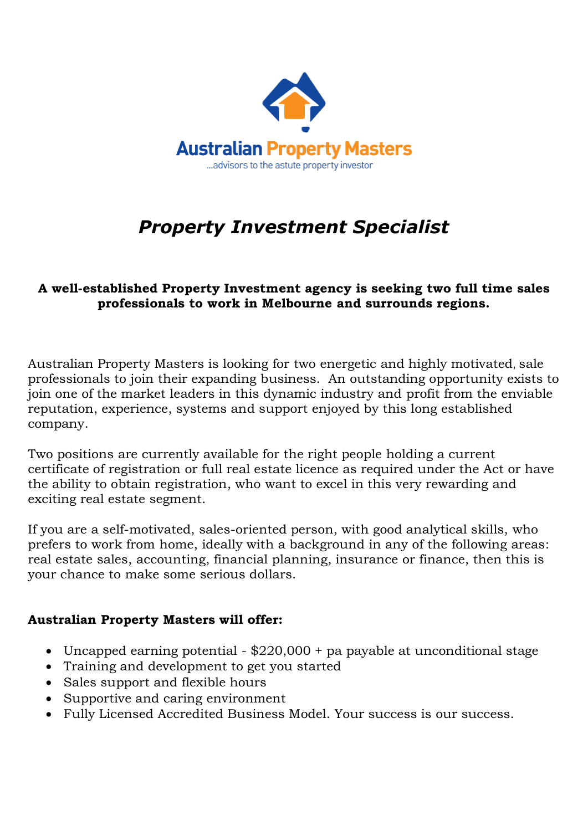

## *Property Investment Specialist*

## **A well-established Property Investment agency is seeking two full time sales professionals to work in Melbourne and surrounds regions.**

Australian Property Masters is looking for two energetic and highly motivated, sale professionals to join their expanding business. An outstanding opportunity exists to join one of the market leaders in this dynamic industry and profit from the enviable reputation, experience, systems and support enjoyed by this long established company.

Two positions are currently available for the right people holding a current certificate of registration or full real estate licence as required under the Act or have the ability to obtain registration, who want to excel in this very rewarding and exciting real estate segment.

If you are a self-motivated, sales-oriented person, with good analytical skills, who prefers to work from home, ideally with a background in any of the following areas: real estate sales, accounting, financial planning, insurance or finance, then this is your chance to make some serious dollars.

## **Australian Property Masters will offer:**

- Uncapped earning potential \$220,000 + pa payable at unconditional stage
- Training and development to get you started
- Sales support and flexible hours
- Supportive and caring environment
- Fully Licensed Accredited Business Model. Your success is our success.